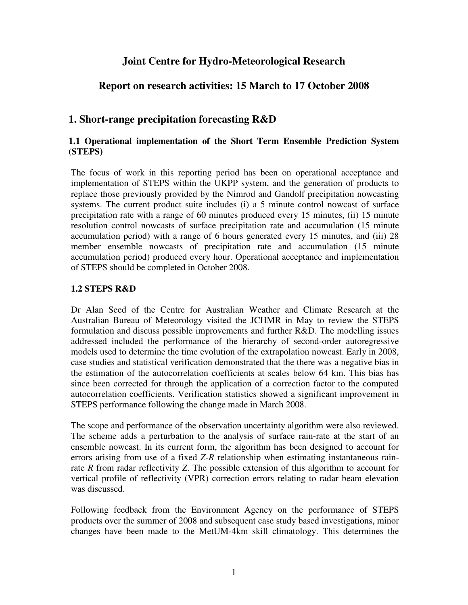## **Joint Centre for Hydro-Meteorological Research**

# **Report on research activities: 15 March to 17 October 2008**

# **1. Short-range precipitation forecasting R&D**

### **1.1 Operational implementation of the Short Term Ensemble Prediction System (STEPS)**

The focus of work in this reporting period has been on operational acceptance and implementation of STEPS within the UKPP system, and the generation of products to replace those previously provided by the Nimrod and Gandolf precipitation nowcasting systems. The current product suite includes (i) a 5 minute control nowcast of surface precipitation rate with a range of 60 minutes produced every 15 minutes, (ii) 15 minute resolution control nowcasts of surface precipitation rate and accumulation (15 minute accumulation period) with a range of 6 hours generated every 15 minutes, and (iii) 28 member ensemble nowcasts of precipitation rate and accumulation (15 minute accumulation period) produced every hour. Operational acceptance and implementation of STEPS should be completed in October 2008.

#### **1.2 STEPS R&D**

Dr Alan Seed of the Centre for Australian Weather and Climate Research at the Australian Bureau of Meteorology visited the JCHMR in May to review the STEPS formulation and discuss possible improvements and further R&D. The modelling issues addressed included the performance of the hierarchy of second-order autoregressive models used to determine the time evolution of the extrapolation nowcast. Early in 2008, case studies and statistical verification demonstrated that the there was a negative bias in the estimation of the autocorrelation coefficients at scales below 64 km. This bias has since been corrected for through the application of a correction factor to the computed autocorrelation coefficients. Verification statistics showed a significant improvement in STEPS performance following the change made in March 2008.

The scope and performance of the observation uncertainty algorithm were also reviewed. The scheme adds a perturbation to the analysis of surface rain-rate at the start of an ensemble nowcast. In its current form, the algorithm has been designed to account for errors arising from use of a fixed *Z*-*R* relationship when estimating instantaneous rainrate *R* from radar reflectivity *Z*. The possible extension of this algorithm to account for vertical profile of reflectivity (VPR) correction errors relating to radar beam elevation was discussed.

Following feedback from the Environment Agency on the performance of STEPS products over the summer of 2008 and subsequent case study based investigations, minor changes have been made to the MetUM-4km skill climatology. This determines the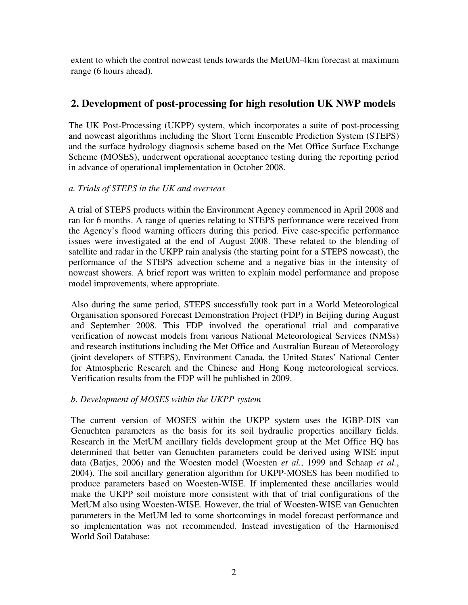extent to which the control nowcast tends towards the MetUM-4km forecast at maximum range (6 hours ahead).

## **2. Development of post-processing for high resolution UK NWP models**

The UK Post-Processing (UKPP) system, which incorporates a suite of post-processing and nowcast algorithms including the Short Term Ensemble Prediction System (STEPS) and the surface hydrology diagnosis scheme based on the Met Office Surface Exchange Scheme (MOSES), underwent operational acceptance testing during the reporting period in advance of operational implementation in October 2008.

### *a. Trials of STEPS in the UK and overseas*

A trial of STEPS products within the Environment Agency commenced in April 2008 and ran for 6 months. A range of queries relating to STEPS performance were received from the Agency's flood warning officers during this period. Five case-specific performance issues were investigated at the end of August 2008. These related to the blending of satellite and radar in the UKPP rain analysis (the starting point for a STEPS nowcast), the performance of the STEPS advection scheme and a negative bias in the intensity of nowcast showers. A brief report was written to explain model performance and propose model improvements, where appropriate.

Also during the same period, STEPS successfully took part in a World Meteorological Organisation sponsored Forecast Demonstration Project (FDP) in Beijing during August and September 2008. This FDP involved the operational trial and comparative verification of nowcast models from various National Meteorological Services (NMSs) and research institutions including the Met Office and Australian Bureau of Meteorology (joint developers of STEPS), Environment Canada, the United States' National Center for Atmospheric Research and the Chinese and Hong Kong meteorological services. Verification results from the FDP will be published in 2009.

### *b. Development of MOSES within the UKPP system*

The current version of MOSES within the UKPP system uses the IGBP-DIS van Genuchten parameters as the basis for its soil hydraulic properties ancillary fields. Research in the MetUM ancillary fields development group at the Met Office HQ has determined that better van Genuchten parameters could be derived using WISE input data (Batjes, 2006) and the Woesten model (Woesten *et al.*, 1999 and Schaap *et al.*, 2004). The soil ancillary generation algorithm for UKPP-MOSES has been modified to produce parameters based on Woesten-WISE. If implemented these ancillaries would make the UKPP soil moisture more consistent with that of trial configurations of the MetUM also using Woesten-WISE. However, the trial of Woesten-WISE van Genuchten parameters in the MetUM led to some shortcomings in model forecast performance and so implementation was not recommended. Instead investigation of the Harmonised World Soil Database: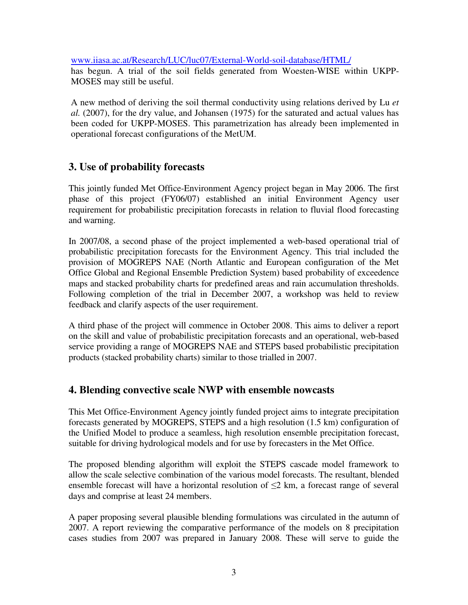www.iiasa.ac.at/Research/LUC/luc07/External-World-soil-database/HTML/ has begun. A trial of the soil fields generated from Woesten-WISE within UKPP-MOSES may still be useful.

A new method of deriving the soil thermal conductivity using relations derived by Lu *et al.* (2007), for the dry value, and Johansen (1975) for the saturated and actual values has been coded for UKPP-MOSES. This parametrization has already been implemented in operational forecast configurations of the MetUM.

# **3. Use of probability forecasts**

This jointly funded Met Office-Environment Agency project began in May 2006. The first phase of this project (FY06/07) established an initial Environment Agency user requirement for probabilistic precipitation forecasts in relation to fluvial flood forecasting and warning.

In 2007/08, a second phase of the project implemented a web-based operational trial of probabilistic precipitation forecasts for the Environment Agency. This trial included the provision of MOGREPS NAE (North Atlantic and European configuration of the Met Office Global and Regional Ensemble Prediction System) based probability of exceedence maps and stacked probability charts for predefined areas and rain accumulation thresholds. Following completion of the trial in December 2007, a workshop was held to review feedback and clarify aspects of the user requirement.

A third phase of the project will commence in October 2008. This aims to deliver a report on the skill and value of probabilistic precipitation forecasts and an operational, web-based service providing a range of MOGREPS NAE and STEPS based probabilistic precipitation products (stacked probability charts) similar to those trialled in 2007.

# **4. Blending convective scale NWP with ensemble nowcasts**

This Met Office-Environment Agency jointly funded project aims to integrate precipitation forecasts generated by MOGREPS, STEPS and a high resolution (1.5 km) configuration of the Unified Model to produce a seamless, high resolution ensemble precipitation forecast, suitable for driving hydrological models and for use by forecasters in the Met Office.

The proposed blending algorithm will exploit the STEPS cascade model framework to allow the scale selective combination of the various model forecasts. The resultant, blended ensemble forecast will have a horizontal resolution of  $\leq$  2 km, a forecast range of several days and comprise at least 24 members.

A paper proposing several plausible blending formulations was circulated in the autumn of 2007. A report reviewing the comparative performance of the models on 8 precipitation cases studies from 2007 was prepared in January 2008. These will serve to guide the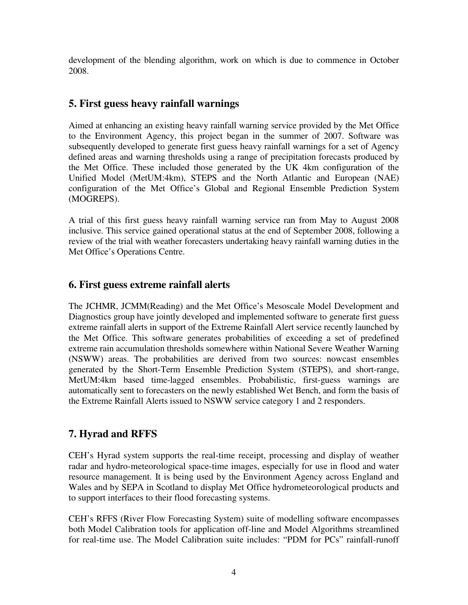development of the blending algorithm, work on which is due to commence in October 2008.

## **5. First guess heavy rainfall warnings**

Aimed at enhancing an existing heavy rainfall warning service provided by the Met Office to the Environment Agency, this project began in the summer of 2007. Software was subsequently developed to generate first guess heavy rainfall warnings for a set of Agency defined areas and warning thresholds using a range of precipitation forecasts produced by the Met Office. These included those generated by the UK 4km configuration of the Unified Model (MetUM:4km), STEPS and the North Atlantic and European (NAE) configuration of the Met Office's Global and Regional Ensemble Prediction System (MOGREPS).

A trial of this first guess heavy rainfall warning service ran from May to August 2008 inclusive. This service gained operational status at the end of September 2008, following a review of the trial with weather forecasters undertaking heavy rainfall warning duties in the Met Office's Operations Centre.

# **6. First guess extreme rainfall alerts**

The JCHMR, JCMM(Reading) and the Met Office's Mesoscale Model Development and Diagnostics group have jointly developed and implemented software to generate first guess extreme rainfall alerts in support of the Extreme Rainfall Alert service recently launched by the Met Office. This software generates probabilities of exceeding a set of predefined extreme rain accumulation thresholds somewhere within National Severe Weather Warning (NSWW) areas. The probabilities are derived from two sources: nowcast ensembles generated by the Short-Term Ensemble Prediction System (STEPS), and short-range, MetUM:4km based time-lagged ensembles. Probabilistic, first-guess warnings are automatically sent to forecasters on the newly established Wet Bench, and form the basis of the Extreme Rainfall Alerts issued to NSWW service category 1 and 2 responders.

# **7. Hyrad and RFFS**

CEH's Hyrad system supports the real-time receipt, processing and display of weather radar and hydro-meteorological space-time images, especially for use in flood and water resource management. It is being used by the Environment Agency across England and Wales and by SEPA in Scotland to display Met Office hydrometeorological products and to support interfaces to their flood forecasting systems.

CEH's RFFS (River Flow Forecasting System) suite of modelling software encompasses both Model Calibration tools for application off-line and Model Algorithms streamlined for real-time use. The Model Calibration suite includes: "PDM for PCs" rainfall-runoff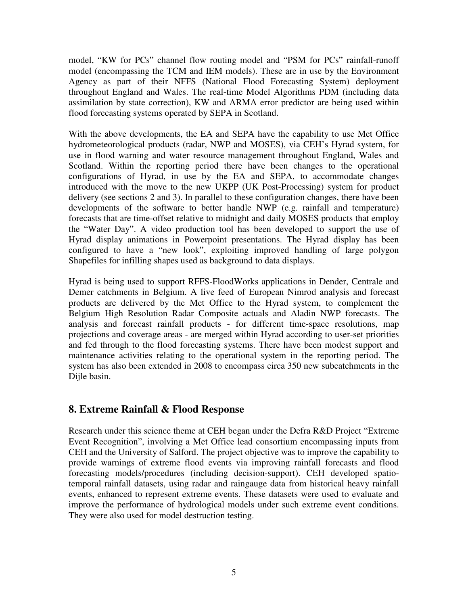model, "KW for PCs" channel flow routing model and "PSM for PCs" rainfall-runoff model (encompassing the TCM and IEM models). These are in use by the Environment Agency as part of their NFFS (National Flood Forecasting System) deployment throughout England and Wales. The real-time Model Algorithms PDM (including data assimilation by state correction), KW and ARMA error predictor are being used within flood forecasting systems operated by SEPA in Scotland.

With the above developments, the EA and SEPA have the capability to use Met Office hydrometeorological products (radar, NWP and MOSES), via CEH's Hyrad system, for use in flood warning and water resource management throughout England, Wales and Scotland. Within the reporting period there have been changes to the operational configurations of Hyrad, in use by the EA and SEPA, to accommodate changes introduced with the move to the new UKPP (UK Post-Processing) system for product delivery (see sections 2 and 3). In parallel to these configuration changes, there have been developments of the software to better handle NWP (e.g. rainfall and temperature) forecasts that are time-offset relative to midnight and daily MOSES products that employ the "Water Day". A video production tool has been developed to support the use of Hyrad display animations in Powerpoint presentations. The Hyrad display has been configured to have a "new look", exploiting improved handling of large polygon Shapefiles for infilling shapes used as background to data displays.

Hyrad is being used to support RFFS-FloodWorks applications in Dender, Centrale and Demer catchments in Belgium. A live feed of European Nimrod analysis and forecast products are delivered by the Met Office to the Hyrad system, to complement the Belgium High Resolution Radar Composite actuals and Aladin NWP forecasts. The analysis and forecast rainfall products - for different time-space resolutions, map projections and coverage areas - are merged within Hyrad according to user-set priorities and fed through to the flood forecasting systems. There have been modest support and maintenance activities relating to the operational system in the reporting period. The system has also been extended in 2008 to encompass circa 350 new subcatchments in the Dijle basin.

### **8. Extreme Rainfall & Flood Response**

Research under this science theme at CEH began under the Defra R&D Project "Extreme Event Recognition", involving a Met Office lead consortium encompassing inputs from CEH and the University of Salford. The project objective was to improve the capability to provide warnings of extreme flood events via improving rainfall forecasts and flood forecasting models/procedures (including decision-support). CEH developed spatiotemporal rainfall datasets, using radar and raingauge data from historical heavy rainfall events, enhanced to represent extreme events. These datasets were used to evaluate and improve the performance of hydrological models under such extreme event conditions. They were also used for model destruction testing.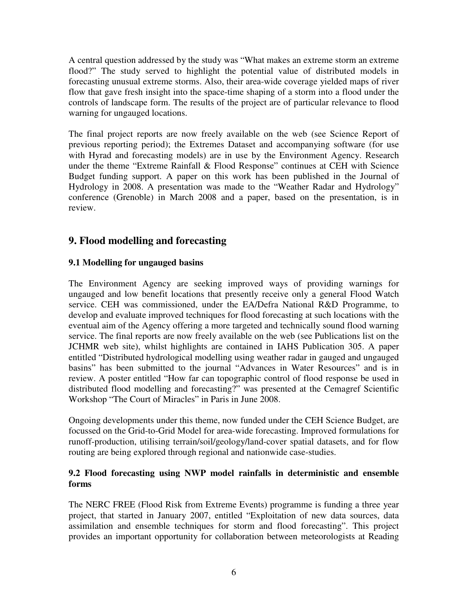A central question addressed by the study was "What makes an extreme storm an extreme flood?" The study served to highlight the potential value of distributed models in forecasting unusual extreme storms. Also, their area-wide coverage yielded maps of river flow that gave fresh insight into the space-time shaping of a storm into a flood under the controls of landscape form. The results of the project are of particular relevance to flood warning for ungauged locations.

The final project reports are now freely available on the web (see Science Report of previous reporting period); the Extremes Dataset and accompanying software (for use with Hyrad and forecasting models) are in use by the Environment Agency. Research under the theme "Extreme Rainfall & Flood Response" continues at CEH with Science Budget funding support. A paper on this work has been published in the Journal of Hydrology in 2008. A presentation was made to the "Weather Radar and Hydrology" conference (Grenoble) in March 2008 and a paper, based on the presentation, is in review.

# **9. Flood modelling and forecasting**

### **9.1 Modelling for ungauged basins**

The Environment Agency are seeking improved ways of providing warnings for ungauged and low benefit locations that presently receive only a general Flood Watch service. CEH was commissioned, under the EA/Defra National R&D Programme, to develop and evaluate improved techniques for flood forecasting at such locations with the eventual aim of the Agency offering a more targeted and technically sound flood warning service. The final reports are now freely available on the web (see Publications list on the JCHMR web site), whilst highlights are contained in IAHS Publication 305. A paper entitled "Distributed hydrological modelling using weather radar in gauged and ungauged basins" has been submitted to the journal "Advances in Water Resources" and is in review. A poster entitled "How far can topographic control of flood response be used in distributed flood modelling and forecasting?" was presented at the Cemagref Scientific Workshop "The Court of Miracles" in Paris in June 2008.

Ongoing developments under this theme, now funded under the CEH Science Budget, are focussed on the Grid-to-Grid Model for area-wide forecasting. Improved formulations for runoff-production, utilising terrain/soil/geology/land-cover spatial datasets, and for flow routing are being explored through regional and nationwide case-studies.

### **9.2 Flood forecasting using NWP model rainfalls in deterministic and ensemble forms**

The NERC FREE (Flood Risk from Extreme Events) programme is funding a three year project, that started in January 2007, entitled "Exploitation of new data sources, data assimilation and ensemble techniques for storm and flood forecasting". This project provides an important opportunity for collaboration between meteorologists at Reading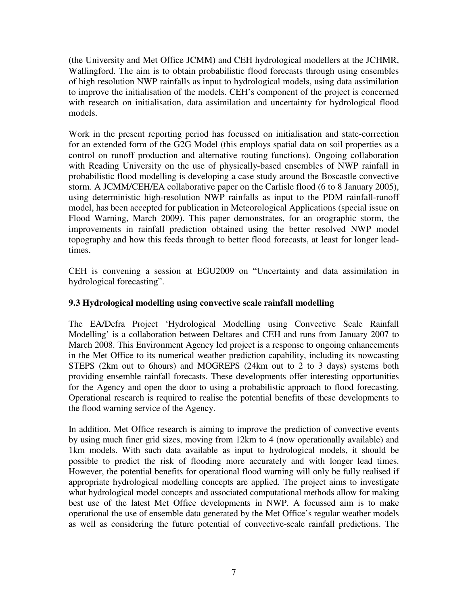(the University and Met Office JCMM) and CEH hydrological modellers at the JCHMR, Wallingford. The aim is to obtain probabilistic flood forecasts through using ensembles of high resolution NWP rainfalls as input to hydrological models, using data assimilation to improve the initialisation of the models. CEH's component of the project is concerned with research on initialisation, data assimilation and uncertainty for hydrological flood models.

Work in the present reporting period has focussed on initialisation and state-correction for an extended form of the G2G Model (this employs spatial data on soil properties as a control on runoff production and alternative routing functions). Ongoing collaboration with Reading University on the use of physically-based ensembles of NWP rainfall in probabilistic flood modelling is developing a case study around the Boscastle convective storm. A JCMM/CEH/EA collaborative paper on the Carlisle flood (6 to 8 January 2005), using deterministic high-resolution NWP rainfalls as input to the PDM rainfall-runoff model, has been accepted for publication in Meteorological Applications (special issue on Flood Warning, March 2009). This paper demonstrates, for an orographic storm, the improvements in rainfall prediction obtained using the better resolved NWP model topography and how this feeds through to better flood forecasts, at least for longer leadtimes.

CEH is convening a session at EGU2009 on "Uncertainty and data assimilation in hydrological forecasting".

### **9.3 Hydrological modelling using convective scale rainfall modelling**

The EA/Defra Project 'Hydrological Modelling using Convective Scale Rainfall Modelling' is a collaboration between Deltares and CEH and runs from January 2007 to March 2008. This Environment Agency led project is a response to ongoing enhancements in the Met Office to its numerical weather prediction capability, including its nowcasting STEPS (2km out to 6hours) and MOGREPS (24km out to 2 to 3 days) systems both providing ensemble rainfall forecasts. These developments offer interesting opportunities for the Agency and open the door to using a probabilistic approach to flood forecasting. Operational research is required to realise the potential benefits of these developments to the flood warning service of the Agency.

In addition, Met Office research is aiming to improve the prediction of convective events by using much finer grid sizes, moving from 12km to 4 (now operationally available) and 1km models. With such data available as input to hydrological models, it should be possible to predict the risk of flooding more accurately and with longer lead times. However, the potential benefits for operational flood warning will only be fully realised if appropriate hydrological modelling concepts are applied. The project aims to investigate what hydrological model concepts and associated computational methods allow for making best use of the latest Met Office developments in NWP. A focussed aim is to make operational the use of ensemble data generated by the Met Office's regular weather models as well as considering the future potential of convective-scale rainfall predictions. The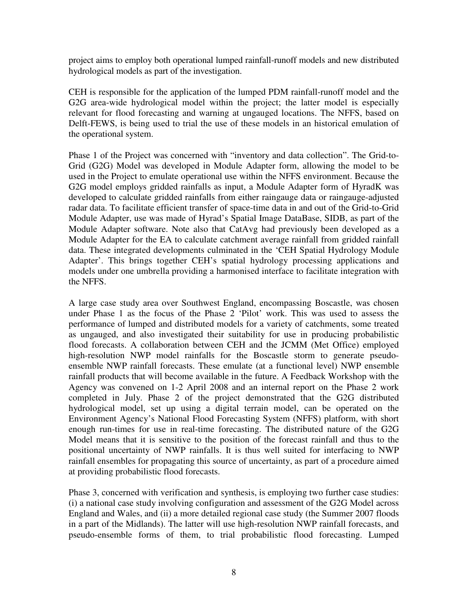project aims to employ both operational lumped rainfall-runoff models and new distributed hydrological models as part of the investigation.

CEH is responsible for the application of the lumped PDM rainfall-runoff model and the G2G area-wide hydrological model within the project; the latter model is especially relevant for flood forecasting and warning at ungauged locations. The NFFS, based on Delft-FEWS, is being used to trial the use of these models in an historical emulation of the operational system.

Phase 1 of the Project was concerned with "inventory and data collection". The Grid-to-Grid (G2G) Model was developed in Module Adapter form, allowing the model to be used in the Project to emulate operational use within the NFFS environment. Because the G2G model employs gridded rainfalls as input, a Module Adapter form of HyradK was developed to calculate gridded rainfalls from either raingauge data or raingauge-adjusted radar data. To facilitate efficient transfer of space-time data in and out of the Grid-to-Grid Module Adapter, use was made of Hyrad's Spatial Image DataBase, SIDB, as part of the Module Adapter software. Note also that CatAvg had previously been developed as a Module Adapter for the EA to calculate catchment average rainfall from gridded rainfall data. These integrated developments culminated in the 'CEH Spatial Hydrology Module Adapter'. This brings together CEH's spatial hydrology processing applications and models under one umbrella providing a harmonised interface to facilitate integration with the NFFS.

A large case study area over Southwest England, encompassing Boscastle, was chosen under Phase 1 as the focus of the Phase 2 'Pilot' work. This was used to assess the performance of lumped and distributed models for a variety of catchments, some treated as ungauged, and also investigated their suitability for use in producing probabilistic flood forecasts. A collaboration between CEH and the JCMM (Met Office) employed high-resolution NWP model rainfalls for the Boscastle storm to generate pseudoensemble NWP rainfall forecasts. These emulate (at a functional level) NWP ensemble rainfall products that will become available in the future. A Feedback Workshop with the Agency was convened on 1-2 April 2008 and an internal report on the Phase 2 work completed in July. Phase 2 of the project demonstrated that the G2G distributed hydrological model, set up using a digital terrain model, can be operated on the Environment Agency's National Flood Forecasting System (NFFS) platform, with short enough run-times for use in real-time forecasting. The distributed nature of the G2G Model means that it is sensitive to the position of the forecast rainfall and thus to the positional uncertainty of NWP rainfalls. It is thus well suited for interfacing to NWP rainfall ensembles for propagating this source of uncertainty, as part of a procedure aimed at providing probabilistic flood forecasts.

Phase 3, concerned with verification and synthesis, is employing two further case studies: (i) a national case study involving configuration and assessment of the G2G Model across England and Wales, and (ii) a more detailed regional case study (the Summer 2007 floods in a part of the Midlands). The latter will use high-resolution NWP rainfall forecasts, and pseudo-ensemble forms of them, to trial probabilistic flood forecasting. Lumped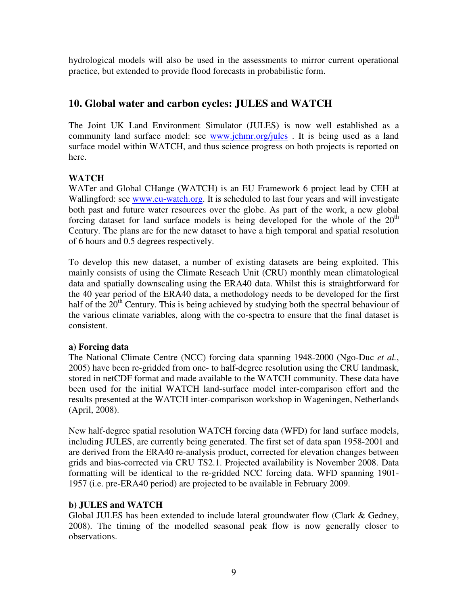hydrological models will also be used in the assessments to mirror current operational practice, but extended to provide flood forecasts in probabilistic form.

## **10. Global water and carbon cycles: JULES and WATCH**

The Joint UK Land Environment Simulator (JULES) is now well established as a community land surface model: see www.jchmr.org/jules . It is being used as a land surface model within WATCH, and thus science progress on both projects is reported on here.

### **WATCH**

WATer and Global CHange (WATCH) is an EU Framework 6 project lead by CEH at Wallingford: see www.eu-watch.org. It is scheduled to last four years and will investigate both past and future water resources over the globe. As part of the work, a new global forcing dataset for land surface models is being developed for the whole of the  $20<sup>th</sup>$ Century. The plans are for the new dataset to have a high temporal and spatial resolution of 6 hours and 0.5 degrees respectively.

To develop this new dataset, a number of existing datasets are being exploited. This mainly consists of using the Climate Reseach Unit (CRU) monthly mean climatological data and spatially downscaling using the ERA40 data. Whilst this is straightforward for the 40 year period of the ERA40 data, a methodology needs to be developed for the first half of the  $20<sup>th</sup>$  Century. This is being achieved by studying both the spectral behaviour of the various climate variables, along with the co-spectra to ensure that the final dataset is consistent.

### **a) Forcing data**

The National Climate Centre (NCC) forcing data spanning 1948-2000 (Ngo-Duc *et al.*, 2005) have been re-gridded from one- to half-degree resolution using the CRU landmask, stored in netCDF format and made available to the WATCH community. These data have been used for the initial WATCH land-surface model inter-comparison effort and the results presented at the WATCH inter-comparison workshop in Wageningen, Netherlands (April, 2008).

New half-degree spatial resolution WATCH forcing data (WFD) for land surface models, including JULES, are currently being generated. The first set of data span 1958-2001 and are derived from the ERA40 re-analysis product, corrected for elevation changes between grids and bias-corrected via CRU TS2.1. Projected availability is November 2008. Data formatting will be identical to the re-gridded NCC forcing data. WFD spanning 1901- 1957 (i.e. pre-ERA40 period) are projected to be available in February 2009.

### **b) JULES and WATCH**

Global JULES has been extended to include lateral groundwater flow (Clark & Gedney, 2008). The timing of the modelled seasonal peak flow is now generally closer to observations.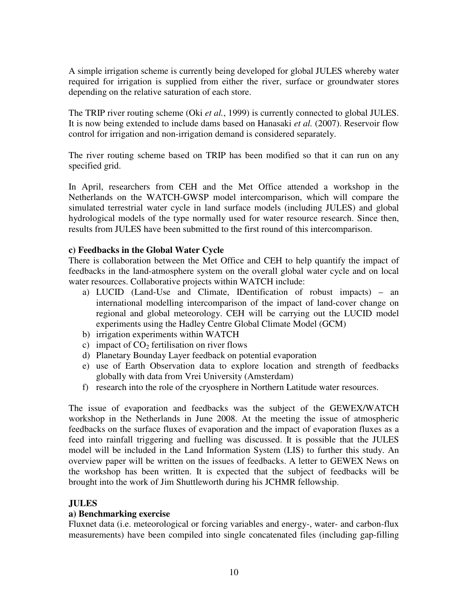A simple irrigation scheme is currently being developed for global JULES whereby water required for irrigation is supplied from either the river, surface or groundwater stores depending on the relative saturation of each store.

The TRIP river routing scheme (Oki *et al.*, 1999) is currently connected to global JULES. It is now being extended to include dams based on Hanasaki *et al.* (2007). Reservoir flow control for irrigation and non-irrigation demand is considered separately.

The river routing scheme based on TRIP has been modified so that it can run on any specified grid.

In April, researchers from CEH and the Met Office attended a workshop in the Netherlands on the WATCH-GWSP model intercomparison, which will compare the simulated terrestrial water cycle in land surface models (including JULES) and global hydrological models of the type normally used for water resource research. Since then, results from JULES have been submitted to the first round of this intercomparison.

#### **c) Feedbacks in the Global Water Cycle**

There is collaboration between the Met Office and CEH to help quantify the impact of feedbacks in the land-atmosphere system on the overall global water cycle and on local water resources. Collaborative projects within WATCH include:

- a) LUCID (Land-Use and Climate, IDentification of robust impacts) an international modelling intercomparison of the impact of land-cover change on regional and global meteorology. CEH will be carrying out the LUCID model experiments using the Hadley Centre Global Climate Model (GCM)
- b) irrigation experiments within WATCH
- c) impact of  $CO<sub>2</sub>$  fertilisation on river flows
- d) Planetary Bounday Layer feedback on potential evaporation
- e) use of Earth Observation data to explore location and strength of feedbacks globally with data from Vrei University (Amsterdam)
- f) research into the role of the cryosphere in Northern Latitude water resources.

The issue of evaporation and feedbacks was the subject of the GEWEX/WATCH workshop in the Netherlands in June 2008. At the meeting the issue of atmospheric feedbacks on the surface fluxes of evaporation and the impact of evaporation fluxes as a feed into rainfall triggering and fuelling was discussed. It is possible that the JULES model will be included in the Land Information System (LIS) to further this study. An overview paper will be written on the issues of feedbacks. A letter to GEWEX News on the workshop has been written. It is expected that the subject of feedbacks will be brought into the work of Jim Shuttleworth during his JCHMR fellowship.

#### **JULES**

#### **a) Benchmarking exercise**

Fluxnet data (i.e. meteorological or forcing variables and energy-, water- and carbon-flux measurements) have been compiled into single concatenated files (including gap-filling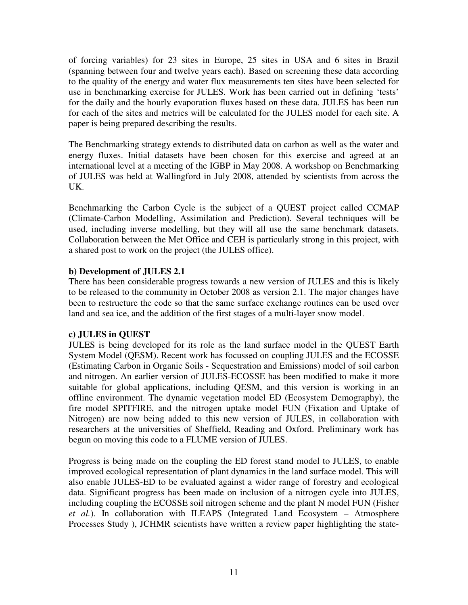of forcing variables) for 23 sites in Europe, 25 sites in USA and 6 sites in Brazil (spanning between four and twelve years each). Based on screening these data according to the quality of the energy and water flux measurements ten sites have been selected for use in benchmarking exercise for JULES. Work has been carried out in defining 'tests' for the daily and the hourly evaporation fluxes based on these data. JULES has been run for each of the sites and metrics will be calculated for the JULES model for each site. A paper is being prepared describing the results.

The Benchmarking strategy extends to distributed data on carbon as well as the water and energy fluxes. Initial datasets have been chosen for this exercise and agreed at an international level at a meeting of the IGBP in May 2008. A workshop on Benchmarking of JULES was held at Wallingford in July 2008, attended by scientists from across the UK.

Benchmarking the Carbon Cycle is the subject of a QUEST project called CCMAP (Climate-Carbon Modelling, Assimilation and Prediction). Several techniques will be used, including inverse modelling, but they will all use the same benchmark datasets. Collaboration between the Met Office and CEH is particularly strong in this project, with a shared post to work on the project (the JULES office).

#### **b) Development of JULES 2.1**

There has been considerable progress towards a new version of JULES and this is likely to be released to the community in October 2008 as version 2.1. The major changes have been to restructure the code so that the same surface exchange routines can be used over land and sea ice, and the addition of the first stages of a multi-layer snow model.

#### **c) JULES in QUEST**

JULES is being developed for its role as the land surface model in the QUEST Earth System Model (QESM). Recent work has focussed on coupling JULES and the ECOSSE (Estimating Carbon in Organic Soils - Sequestration and Emissions) model of soil carbon and nitrogen. An earlier version of JULES-ECOSSE has been modified to make it more suitable for global applications, including QESM, and this version is working in an offline environment. The dynamic vegetation model ED (Ecosystem Demography), the fire model SPITFIRE, and the nitrogen uptake model FUN (Fixation and Uptake of Nitrogen) are now being added to this new version of JULES, in collaboration with researchers at the universities of Sheffield, Reading and Oxford. Preliminary work has begun on moving this code to a FLUME version of JULES.

Progress is being made on the coupling the ED forest stand model to JULES, to enable improved ecological representation of plant dynamics in the land surface model. This will also enable JULES-ED to be evaluated against a wider range of forestry and ecological data. Significant progress has been made on inclusion of a nitrogen cycle into JULES, including coupling the ECOSSE soil nitrogen scheme and the plant N model FUN (Fisher *et al.*). In collaboration with ILEAPS (Integrated Land Ecosystem – Atmosphere Processes Study ), JCHMR scientists have written a review paper highlighting the state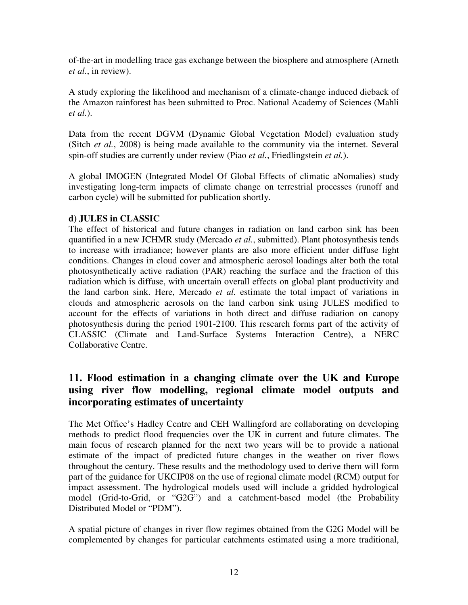of-the-art in modelling trace gas exchange between the biosphere and atmosphere (Arneth *et al.*, in review).

A study exploring the likelihood and mechanism of a climate-change induced dieback of the Amazon rainforest has been submitted to Proc. National Academy of Sciences (Mahli *et al.*).

Data from the recent DGVM (Dynamic Global Vegetation Model) evaluation study (Sitch *et al.*, 2008) is being made available to the community via the internet. Several spin-off studies are currently under review (Piao *et al.*, Friedlingstein *et al.*).

A global IMOGEN (Integrated Model Of Global Effects of climatic aNomalies) study investigating long-term impacts of climate change on terrestrial processes (runoff and carbon cycle) will be submitted for publication shortly.

### **d) JULES in CLASSIC**

The effect of historical and future changes in radiation on land carbon sink has been quantified in a new JCHMR study (Mercado *et al.*, submitted). Plant photosynthesis tends to increase with irradiance; however plants are also more efficient under diffuse light conditions. Changes in cloud cover and atmospheric aerosol loadings alter both the total photosynthetically active radiation (PAR) reaching the surface and the fraction of this radiation which is diffuse, with uncertain overall effects on global plant productivity and the land carbon sink. Here, Mercado *et al.* estimate the total impact of variations in clouds and atmospheric aerosols on the land carbon sink using JULES modified to account for the effects of variations in both direct and diffuse radiation on canopy photosynthesis during the period 1901-2100. This research forms part of the activity of CLASSIC (Climate and Land-Surface Systems Interaction Centre), a NERC Collaborative Centre.

# **11. Flood estimation in a changing climate over the UK and Europe using river flow modelling, regional climate model outputs and incorporating estimates of uncertainty**

The Met Office's Hadley Centre and CEH Wallingford are collaborating on developing methods to predict flood frequencies over the UK in current and future climates. The main focus of research planned for the next two years will be to provide a national estimate of the impact of predicted future changes in the weather on river flows throughout the century. These results and the methodology used to derive them will form part of the guidance for UKCIP08 on the use of regional climate model (RCM) output for impact assessment. The hydrological models used will include a gridded hydrological model (Grid-to-Grid, or "G2G") and a catchment-based model (the Probability Distributed Model or "PDM").

A spatial picture of changes in river flow regimes obtained from the G2G Model will be complemented by changes for particular catchments estimated using a more traditional,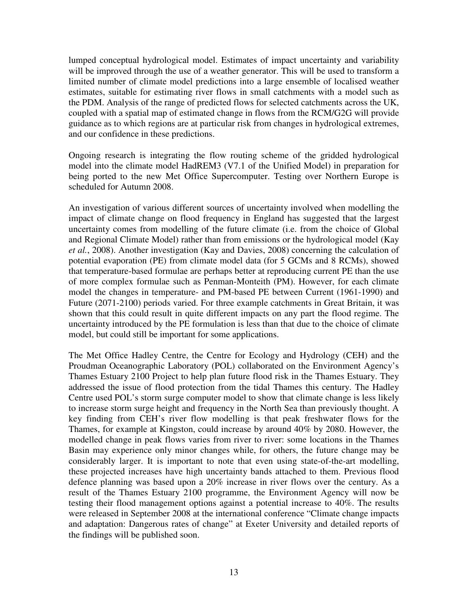lumped conceptual hydrological model. Estimates of impact uncertainty and variability will be improved through the use of a weather generator. This will be used to transform a limited number of climate model predictions into a large ensemble of localised weather estimates, suitable for estimating river flows in small catchments with a model such as the PDM. Analysis of the range of predicted flows for selected catchments across the UK, coupled with a spatial map of estimated change in flows from the RCM/G2G will provide guidance as to which regions are at particular risk from changes in hydrological extremes, and our confidence in these predictions.

Ongoing research is integrating the flow routing scheme of the gridded hydrological model into the climate model HadREM3 (V7.1 of the Unified Model) in preparation for being ported to the new Met Office Supercomputer. Testing over Northern Europe is scheduled for Autumn 2008.

An investigation of various different sources of uncertainty involved when modelling the impact of climate change on flood frequency in England has suggested that the largest uncertainty comes from modelling of the future climate (i.e. from the choice of Global and Regional Climate Model) rather than from emissions or the hydrological model (Kay *et al.*, 2008). Another investigation (Kay and Davies, 2008) concerning the calculation of potential evaporation (PE) from climate model data (for 5 GCMs and 8 RCMs), showed that temperature-based formulae are perhaps better at reproducing current PE than the use of more complex formulae such as Penman-Monteith (PM). However, for each climate model the changes in temperature- and PM-based PE between Current (1961-1990) and Future (2071-2100) periods varied. For three example catchments in Great Britain, it was shown that this could result in quite different impacts on any part the flood regime. The uncertainty introduced by the PE formulation is less than that due to the choice of climate model, but could still be important for some applications.

The Met Office Hadley Centre, the Centre for Ecology and Hydrology (CEH) and the Proudman Oceanographic Laboratory (POL) collaborated on the Environment Agency's Thames Estuary 2100 Project to help plan future flood risk in the Thames Estuary. They addressed the issue of flood protection from the tidal Thames this century. The Hadley Centre used POL's storm surge computer model to show that climate change is less likely to increase storm surge height and frequency in the North Sea than previously thought. A key finding from CEH's river flow modelling is that peak freshwater flows for the Thames, for example at Kingston, could increase by around 40% by 2080. However, the modelled change in peak flows varies from river to river: some locations in the Thames Basin may experience only minor changes while, for others, the future change may be considerably larger. It is important to note that even using state-of-the-art modelling, these projected increases have high uncertainty bands attached to them. Previous flood defence planning was based upon a 20% increase in river flows over the century. As a result of the Thames Estuary 2100 programme, the Environment Agency will now be testing their flood management options against a potential increase to 40%. The results were released in September 2008 at the international conference "Climate change impacts and adaptation: Dangerous rates of change" at Exeter University and detailed reports of the findings will be published soon.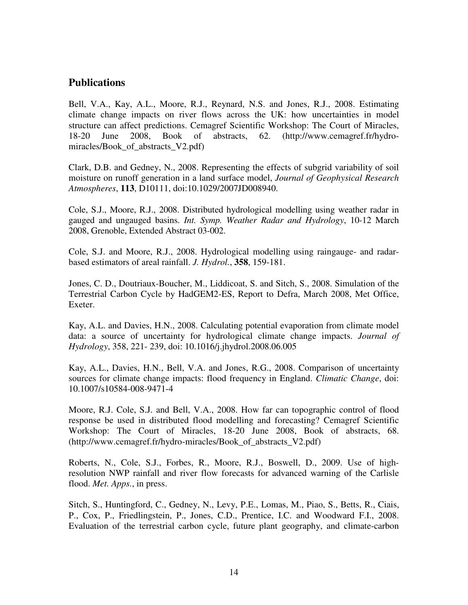### **Publications**

Bell, V.A., Kay, A.L., Moore, R.J., Reynard, N.S. and Jones, R.J., 2008. Estimating climate change impacts on river flows across the UK: how uncertainties in model structure can affect predictions. Cemagref Scientific Workshop: The Court of Miracles, 18-20 June 2008, Book of abstracts, 62. (http://www.cemagref.fr/hydromiracles/Book\_of\_abstracts\_V2.pdf)

Clark, D.B. and Gedney, N., 2008. Representing the effects of subgrid variability of soil moisture on runoff generation in a land surface model, *Journal of Geophysical Research Atmospheres*, **113**, D10111, doi:10.1029/2007JD008940.

Cole, S.J., Moore, R.J., 2008. Distributed hydrological modelling using weather radar in gauged and ungauged basins. *Int. Symp. Weather Radar and Hydrology*, 10-12 March 2008, Grenoble, Extended Abstract 03-002.

Cole, S.J. and Moore, R.J., 2008. Hydrological modelling using raingauge- and radarbased estimators of areal rainfall. *J. Hydrol.*, **358**, 159-181.

Jones, C. D., Doutriaux-Boucher, M., Liddicoat, S. and Sitch, S., 2008. Simulation of the Terrestrial Carbon Cycle by HadGEM2-ES, Report to Defra, March 2008, Met Office, Exeter.

Kay, A.L. and Davies, H.N., 2008. Calculating potential evaporation from climate model data: a source of uncertainty for hydrological climate change impacts. *Journal of Hydrology*, 358, 221- 239, doi: 10.1016/j.jhydrol.2008.06.005

Kay, A.L., Davies, H.N., Bell, V.A. and Jones, R.G., 2008. Comparison of uncertainty sources for climate change impacts: flood frequency in England. *Climatic Change*, doi: 10.1007/s10584-008-9471-4

Moore, R.J. Cole, S.J. and Bell, V.A., 2008. How far can topographic control of flood response be used in distributed flood modelling and forecasting? Cemagref Scientific Workshop: The Court of Miracles, 18-20 June 2008, Book of abstracts, 68. (http://www.cemagref.fr/hydro-miracles/Book\_of\_abstracts\_V2.pdf)

Roberts, N., Cole, S.J., Forbes, R., Moore, R.J., Boswell, D., 2009. Use of highresolution NWP rainfall and river flow forecasts for advanced warning of the Carlisle flood. *Met. Apps.*, in press.

Sitch, S., Huntingford, C., Gedney, N., Levy, P.E., Lomas, M., Piao, S., Betts, R., Ciais, P., Cox, P., Friedlingstein, P., Jones, C.D., Prentice, I.C. and Woodward F.I., 2008. Evaluation of the terrestrial carbon cycle, future plant geography, and climate-carbon